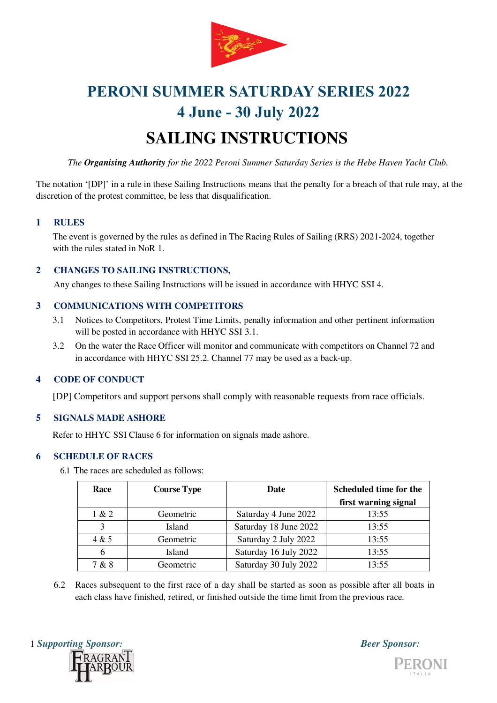

# **SAILING INSTRUCTIONS**

*The Organising Authority for the 2022 Peroni Summer Saturday Series is the Hebe Haven Yacht Club.* 

The notation '[DP]' in a rule in these Sailing Instructions means that the penalty for a breach of that rule may, at the discretion of the protest committee, be less that disqualification.

### **1 RULES**

The event is governed by the rules as defined in The Racing Rules of Sailing (RRS) 2021-2024, together with the rules stated in NoR 1.

### **2 CHANGES TO SAILING INSTRUCTIONS,**

Any changes to these Sailing Instructions will be issued in accordance with HHYC SSI 4.

# **3 COMMUNICATIONS WITH COMPETITORS**

- 3.1 Notices to Competitors, Protest Time Limits, penalty information and other pertinent information will be posted in accordance with HHYC SSI 3.1.
- 3.2 On the water the Race Officer will monitor and communicate with competitors on Channel 72 and in accordance with HHYC SSI 25.2. Channel 77 may be used as a back-up.

### **4 CODE OF CONDUCT**

[DP] Competitors and support persons shall comply with reasonable requests from race officials.

### **5 SIGNALS MADE ASHORE**

Refer to HHYC SSI Clause 6 for information on signals made ashore.

# **6 SCHEDULE OF RACES**

6.1 The races are scheduled as follows:

| Race  | <b>Course Type</b> | Date                  | Scheduled time for the |
|-------|--------------------|-----------------------|------------------------|
|       |                    |                       | first warning signal   |
| 1 & 2 | Geometric          | Saturday 4 June 2022  | 13:55                  |
|       | Island             | Saturday 18 June 2022 | 13:55                  |
| 4 & 5 | Geometric          | Saturday 2 July 2022  | 13:55                  |
| 6     | Island             | Saturday 16 July 2022 | 13:55                  |
| 7 & 8 | Geometric          | Saturday 30 July 2022 | 13:55                  |

6.2 Races subsequent to the first race of a day shall be started as soon as possible after all boats in each class have finished, retired, or finished outside the time limit from the previous race.



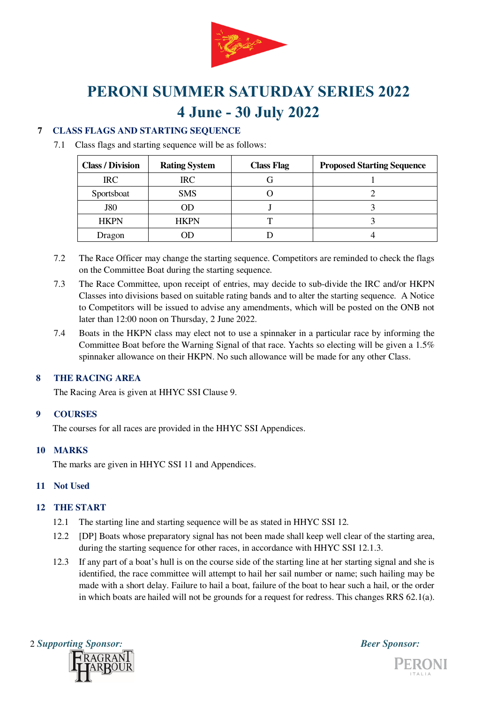

# **7 CLASS FLAGS AND STARTING SEQUENCE**

7.1 Class flags and starting sequence will be as follows:

| <b>Class / Division</b> | <b>Rating System</b> | <b>Class Flag</b> | <b>Proposed Starting Sequence</b> |
|-------------------------|----------------------|-------------------|-----------------------------------|
| $\rm IRC$               | $\rm IRC$            |                   |                                   |
| Sportsboat              | <b>SMS</b>           |                   |                                   |
| <b>J80</b>              |                      |                   |                                   |
| <b>HKPN</b>             | <b>HKPN</b>          |                   |                                   |
| Dragon                  |                      |                   |                                   |

- 7.2 The Race Officer may change the starting sequence. Competitors are reminded to check the flags on the Committee Boat during the starting sequence.
- 7.3 The Race Committee, upon receipt of entries, may decide to sub-divide the IRC and/or HKPN Classes into divisions based on suitable rating bands and to alter the starting sequence. A Notice to Competitors will be issued to advise any amendments, which will be posted on the ONB not later than 12:00 noon on Thursday, 2 June 2022.
- 7.4 Boats in the HKPN class may elect not to use a spinnaker in a particular race by informing the Committee Boat before the Warning Signal of that race. Yachts so electing will be given a 1.5% spinnaker allowance on their HKPN. No such allowance will be made for any other Class.

# **8 THE RACING AREA**

The Racing Area is given at HHYC SSI Clause 9.

# **9 COURSES**

The courses for all races are provided in the HHYC SSI Appendices.

# **10 MARKS**

The marks are given in HHYC SSI 11 and Appendices.

# **11 Not Used**

# **12 THE START**

- 12.1 The starting line and starting sequence will be as stated in HHYC SSI 12.
- 12.2 [DP] Boats whose preparatory signal has not been made shall keep well clear of the starting area, during the starting sequence for other races, in accordance with HHYC SSI 12.1.3.
- 12.3 If any part of a boat's hull is on the course side of the starting line at her starting signal and she is identified, the race committee will attempt to hail her sail number or name; such hailing may be made with a short delay. Failure to hail a boat, failure of the boat to hear such a hail, or the order in which boats are hailed will not be grounds for a request for redress. This changes RRS 62.1(a).



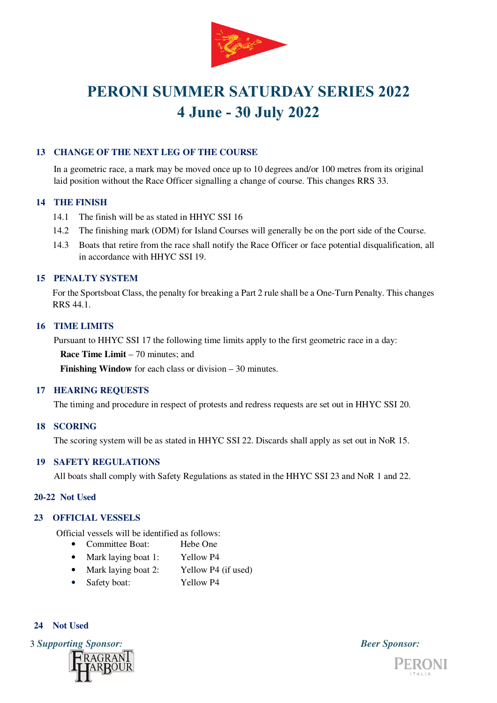

# **13 CHANGE OF THE NEXT LEG OF THE COURSE**

In a geometric race, a mark may be moved once up to 10 degrees and/or 100 metres from its original laid position without the Race Officer signalling a change of course. This changes RRS 33.

#### **14 THE FINISH**

- 14.1 The finish will be as stated in HHYC SSI 16
- 14.2 The finishing mark (ODM) for Island Courses will generally be on the port side of the Course.
- 14.3 Boats that retire from the race shall notify the Race Officer or face potential disqualification, all in accordance with HHYC SSI 19.

# **15 PENALTY SYSTEM**

For the Sportsboat Class, the penalty for breaking a Part 2 rule shall be a One-Turn Penalty. This changes RRS 44.1.

#### **16 TIME LIMITS**

Pursuant to HHYC SSI 17 the following time limits apply to the first geometric race in a day:

**Race Time Limit – 70 minutes: and** 

**Finishing Window** for each class or division – 30 minutes.

#### **17 HEARING REQUESTS**

The timing and procedure in respect of protests and redress requests are set out in HHYC SSI 20.

#### **18 SCORING**

The scoring system will be as stated in HHYC SSI 22. Discards shall apply as set out in NoR 15.

#### **19 SAFETY REGULATIONS**

All boats shall comply with Safety Regulations as stated in the HHYC SSI 23 and NoR 1 and 22.

#### **20-22 Not Used**

#### **23 OFFICIAL VESSELS**

Official vessels will be identified as follows:

- Committee Boat: Hebe One
- Mark laying boat 1: Yellow P4
- Mark laying boat 2: Yellow P4 (if used)
- Safety boat: Yellow P4

# **24 Not Used**